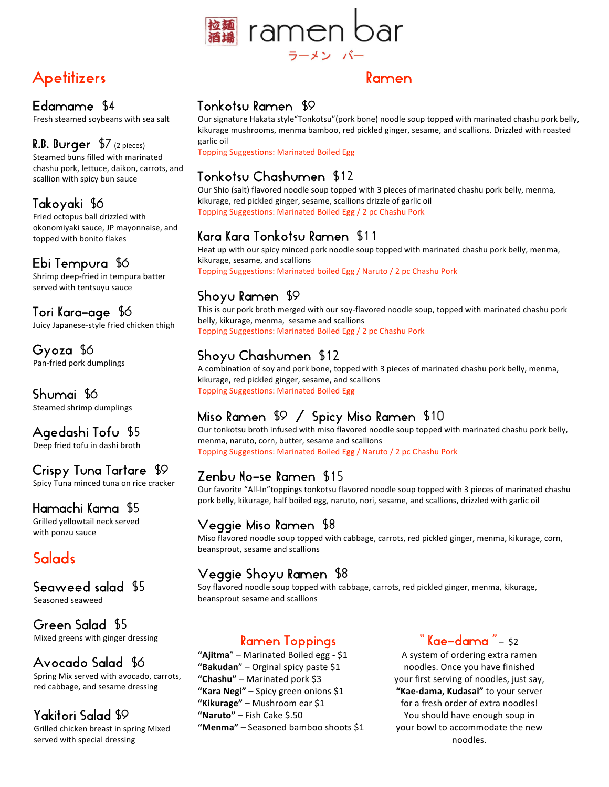

## **Apetitizers**

#### Edamame \$4

Fresh
steamed
soybeans
with
sea
salt

#### R.B. Burger \$7(2
pieces)

Steamed
buns
filled
with
marinated chashu
pork,
lettuce,
daikon,
carrots,
and scallion
with
spicy
bun
sauce

## Takoyaki \$6

Fried
octopus
ball
drizzled
with okonomiyaki sauce,
JP
mayonnaise,
and topped
with
bonito
flakes

#### Ebi Tempura \$6

Shrimp
deep‐fried
in
tempura
batter served
with
tentsuyu
sauce

#### Tori Kara-age \$6

Juicy
Japanese‐style
fried
chicken
thigh

Gyoza \$6 Pan‐fried
pork dumplings

# Shumai \$6

Steamed
shrimp
dumplings

#### Agedashi Tofu \$5

Deep
fried
tofu
in
dashi
broth

## Crispy Tuna Tartare \$9

Spicy
Tuna
minced
tuna
on
rice
cracker

#### Hamachi Kama \$5

Grilled
yellowtail
neck
served with
ponzu
sauce

## **Salads**

## Seaweed salad \$5

Seasoned
seaweed

Green Salad \$5 Mixed
greens
with
ginger
dressing

## Avocado Salad \$6

 $\frac{d}{se}$ Spring
Mix
served
with
avocado,
carrots, red
cabbage,
and
sesame
dressing

## Yakitori Salad \$9

Grilled
chicken
breast
in
spring
Mixed served
with
special
dressing

#### Ramen

#### Tonkotsu Ramen \$9

Our signature Hakata style "Tonkotsu" (pork bone) noodle soup topped with marinated chashu pork belly, kikurage mushrooms, menma bamboo, red pickled ginger, sesame, and scallions. Drizzled with roasted garlic
oil

Topping
Suggestions:
Marinated
Boiled
Egg

## Tonkotsu Chashumen \$12

Our Shio (salt) flavored noodle soup topped with 3 pieces of marinated chashu pork belly, menma, kikurage,
red
pickled
ginger,
sesame,
scallions
drizzle
of
garlic
oil Topping
Suggestions:
Marinated
Boiled
Egg
/
2
pc
Chashu
Pork

#### Kara Kara Tonkotsu Ramen \$11

Heat up with our spicy minced pork noodle soup topped with marinated chashu pork belly, menma, kikurage,
sesame,
and
scallions Topping
Suggestions:
Marinated
boiled
Egg
/
Naruto
/
2
pc
Chashu
Pork

#### Shoyu Ramen \$9

This is our pork broth merged with our soy-flavored noodle soup, topped with marinated chashu pork belly,
kikurage,
menma,

sesame
and
scallions Topping
Suggestions:
Marinated
Boiled
Egg
/
2
pc
Chashu
Pork

## Shoyu Chashumen \$12

A combination of soy and pork bone, topped with 3 pieces of marinated chashu pork belly, menma, kikurage,
red
pickled
ginger,
sesame,
and
scallions Topping
Suggestions:
Marinated
Boiled
Egg

## Miso Ramen \$9 / Spicy Miso Ramen \$10

Our tonkotsu broth infused with miso flavored noodle soup topped with marinated chashu pork belly, menma,
naruto,
corn,
butter,
sesame
and
scallions Topping
Suggestions:
Marinated
Boiled
Egg
/
Naruto
/
2
pc
Chashu
Pork

#### Zenbu No-se Ramen \$15

Our favorite "All-In" toppings tonkotsu flavored noodle soup topped with 3 pieces of marinated chashu pork belly, kikurage, half boiled egg, naruto, nori, sesame, and scallions, drizzled with garlic oil

#### Veggie Miso Ramen \$8

Miso flavored noodle soup topped with cabbage, carrots, red pickled ginger, menma, kikurage, corn, beansprout,
sesame
and
scallions

#### Veggie Shoyu Ramen \$8

Soy flavored noodle soup topped with cabbage, carrots, red pickled ginger, menma, kikurage, beansprout
sesame
and
scallions

#### Ramen Toppings

**"Ajitma**"
– Marinated
Boiled
egg
‐ \$1 **"Bakudan**"
– Orginal
spicy
paste
\$1 **"Chashu"** – Marinated
pork \$3 "Kara Negi" - Spicy green onions \$1 **"Kikurage"** – Mushroom
ear
\$1 **"Naruto"** – Fish
Cake
\$.50 "Menma" - Seasoned bamboo shoots \$1

#### **" Kae-dama "** – sz

A
system
of
ordering
extra
ramen noodles.
Once
you
have
finished your
first
serving
of
noodles,
just
say, **"Kae‐dama,
Kudasai"** to
your
server for a fresh order of extra noodles! You
should
have
enough
soup
in your
bowl
to
accommodate
the
new noodles.